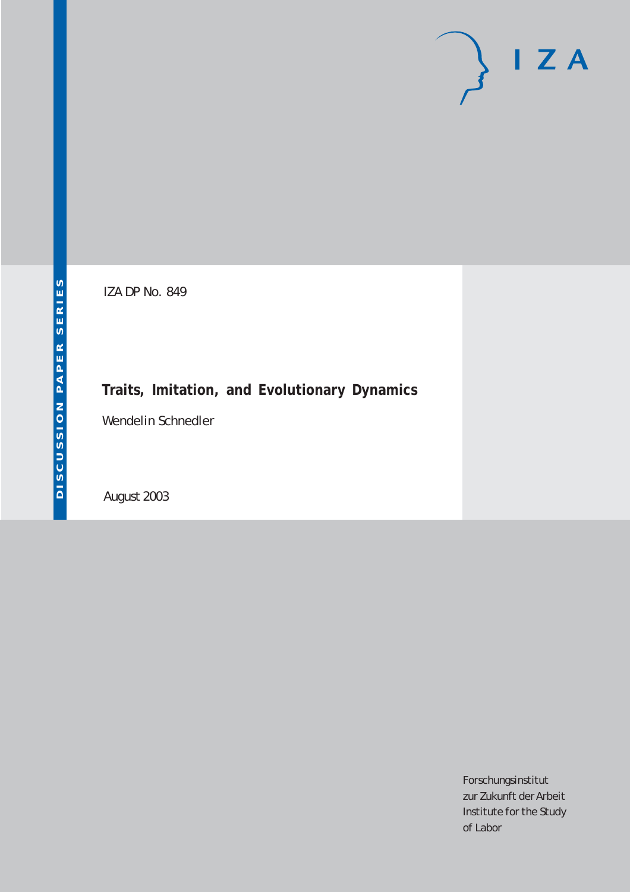# $I Z A$

IZA DP No. 849

# **Traits, Imitation, and Evolutionary Dynamics**

Wendelin Schnedler

August 2003

Forschungsinstitut zur Zukunft der Arbeit Institute for the Study of Labor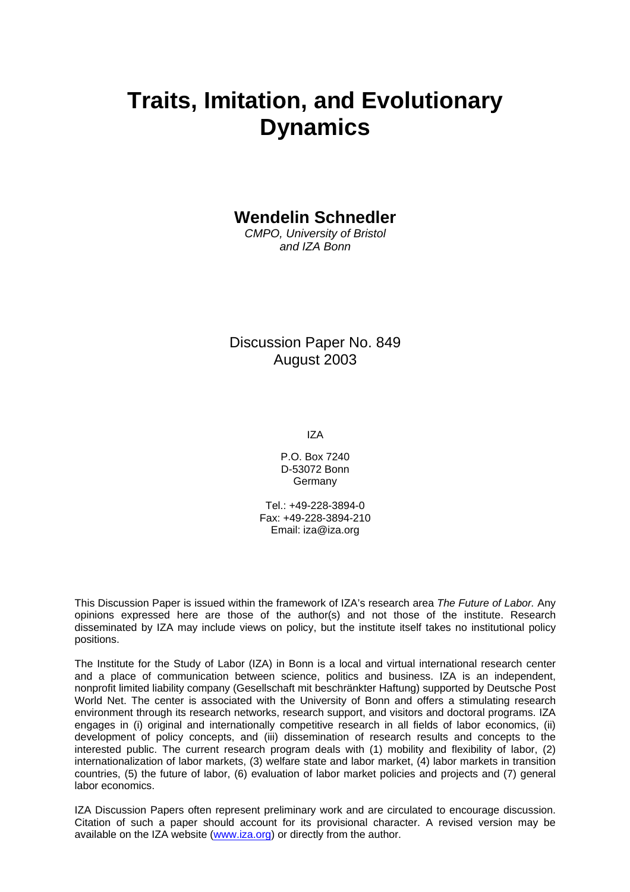# **Traits, Imitation, and Evolutionary Dynamics**

**Wendelin Schnedler** 

*CMPO, University of Bristol and IZA Bonn*

Discussion Paper No. 849 August 2003

IZA

P.O. Box 7240 D-53072 Bonn Germany

Tel.: +49-228-3894-0 Fax: +49-228-3894-210 Email: [iza@iza.org](mailto:iza@iza.org)

This Discussion Paper is issued within the framework of IZA's research area *The Future of Labor.* Any opinions expressed here are those of the author(s) and not those of the institute. Research disseminated by IZA may include views on policy, but the institute itself takes no institutional policy positions.

The Institute for the Study of Labor (IZA) in Bonn is a local and virtual international research center and a place of communication between science, politics and business. IZA is an independent, nonprofit limited liability company (Gesellschaft mit beschränkter Haftung) supported by Deutsche Post World Net. The center is associated with the University of Bonn and offers a stimulating research environment through its research networks, research support, and visitors and doctoral programs. IZA engages in (i) original and internationally competitive research in all fields of labor economics, (ii) development of policy concepts, and (iii) dissemination of research results and concepts to the interested public. The current research program deals with (1) mobility and flexibility of labor, (2) internationalization of labor markets, (3) welfare state and labor market, (4) labor markets in transition countries, (5) the future of labor, (6) evaluation of labor market policies and projects and (7) general labor economics.

IZA Discussion Papers often represent preliminary work and are circulated to encourage discussion. Citation of such a paper should account for its provisional character. A revised version may be available on the IZA website ([www.iza.org](http://www.iza.org/)) or directly from the author.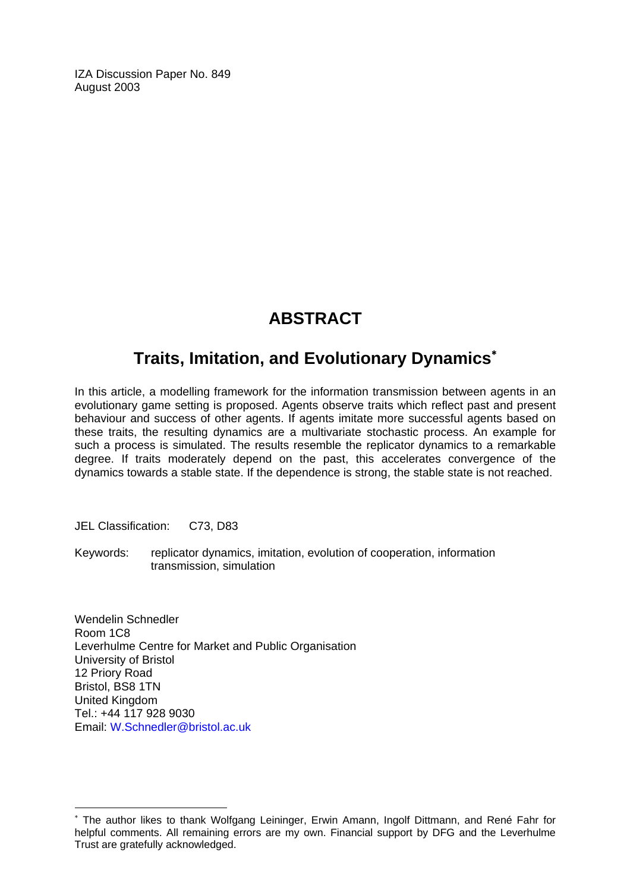IZA Discussion Paper No. 849 August 2003

# **ABSTRACT**

# **Traits, Imitation, and Evolutionary Dynamics**[∗](#page-2-0)

In this article, a modelling framework for the information transmission between agents in an evolutionary game setting is proposed. Agents observe traits which reflect past and present behaviour and success of other agents. If agents imitate more successful agents based on these traits, the resulting dynamics are a multivariate stochastic process. An example for such a process is simulated. The results resemble the replicator dynamics to a remarkable degree. If traits moderately depend on the past, this accelerates convergence of the dynamics towards a stable state. If the dependence is strong, the stable state is not reached.

JEL Classification: C73, D83

 $\overline{a}$ 

Keywords: replicator dynamics, imitation, evolution of cooperation, information transmission, simulation

Wendelin Schnedler Room 1C8 Leverhulme Centre for Market and Public Organisation University of Bristol 12 Priory Road Bristol, BS8 1TN United Kingdom Tel.: +44 117 928 9030 Email: [W.Schnedler@bristol.ac.uk](mailto:W.Schnedler@bristol.ac.uk)

<span id="page-2-0"></span><sup>∗</sup> The author likes to thank Wolfgang Leininger, Erwin Amann, Ingolf Dittmann, and René Fahr for helpful comments. All remaining errors are my own. Financial support by DFG and the Leverhulme Trust are gratefully acknowledged.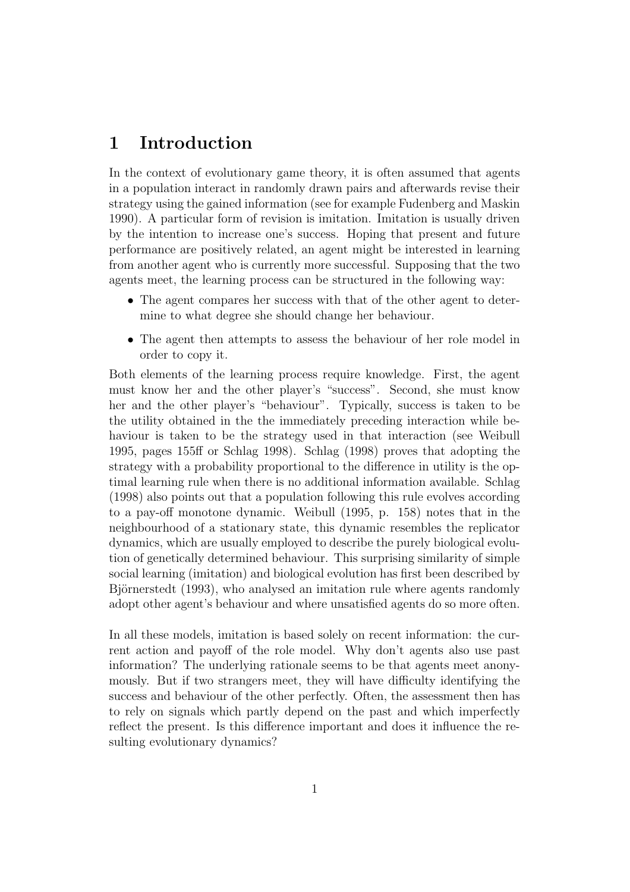# 1 Introduction

In the context of evolutionary game theory, it is often assumed that agents in a population interact in randomly drawn pairs and afterwards revise their strategy using the gained information (see for example Fudenberg and Maskin 1990). A particular form of revision is imitation. Imitation is usually driven by the intention to increase one's success. Hoping that present and future performance are positively related, an agent might be interested in learning from another agent who is currently more successful. Supposing that the two agents meet, the learning process can be structured in the following way:

- The agent compares her success with that of the other agent to determine to what degree she should change her behaviour.
- The agent then attempts to assess the behaviour of her role model in order to copy it.

Both elements of the learning process require knowledge. First, the agent must know her and the other player's "success". Second, she must know her and the other player's "behaviour". Typically, success is taken to be the utility obtained in the the immediately preceding interaction while behaviour is taken to be the strategy used in that interaction (see Weibull 1995, pages 155ff or Schlag 1998). Schlag (1998) proves that adopting the strategy with a probability proportional to the difference in utility is the optimal learning rule when there is no additional information available. Schlag (1998) also points out that a population following this rule evolves according to a pay-off monotone dynamic. Weibull (1995, p. 158) notes that in the neighbourhood of a stationary state, this dynamic resembles the replicator dynamics, which are usually employed to describe the purely biological evolution of genetically determined behaviour. This surprising similarity of simple social learning (imitation) and biological evolution has first been described by Björnerstedt (1993), who analysed an imitation rule where agents randomly adopt other agent's behaviour and where unsatisfied agents do so more often.

In all these models, imitation is based solely on recent information: the current action and payoff of the role model. Why don't agents also use past information? The underlying rationale seems to be that agents meet anonymously. But if two strangers meet, they will have difficulty identifying the success and behaviour of the other perfectly. Often, the assessment then has to rely on signals which partly depend on the past and which imperfectly reflect the present. Is this difference important and does it influence the resulting evolutionary dynamics?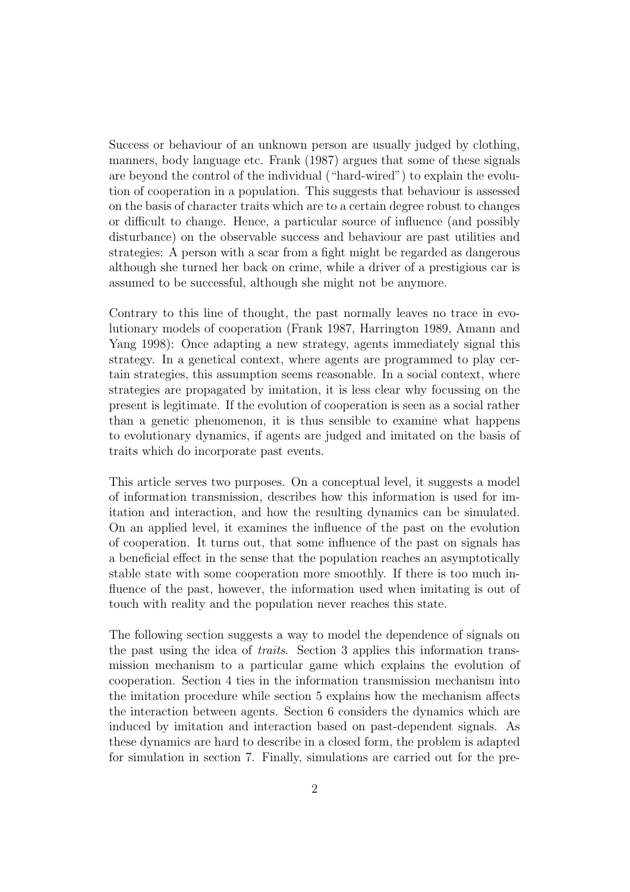Success or behaviour of an unknown person are usually judged by clothing, manners, body language etc. Frank (1987) argues that some of these signals are beyond the control of the individual ("hard-wired") to explain the evolution of cooperation in a population. This suggests that behaviour is assessed on the basis of character traits which are to a certain degree robust to changes or difficult to change. Hence, a particular source of influence (and possibly disturbance) on the observable success and behaviour are past utilities and strategies: A person with a scar from a fight might be regarded as dangerous although she turned her back on crime, while a driver of a prestigious car is assumed to be successful, although she might not be anymore.

Contrary to this line of thought, the past normally leaves no trace in evolutionary models of cooperation (Frank 1987, Harrington 1989, Amann and Yang 1998): Once adapting a new strategy, agents immediately signal this strategy. In a genetical context, where agents are programmed to play certain strategies, this assumption seems reasonable. In a social context, where strategies are propagated by imitation, it is less clear why focussing on the present is legitimate. If the evolution of cooperation is seen as a social rather than a genetic phenomenon, it is thus sensible to examine what happens to evolutionary dynamics, if agents are judged and imitated on the basis of traits which do incorporate past events.

This article serves two purposes. On a conceptual level, it suggests a model of information transmission, describes how this information is used for imitation and interaction, and how the resulting dynamics can be simulated. On an applied level, it examines the influence of the past on the evolution of cooperation. It turns out, that some influence of the past on signals has a beneficial effect in the sense that the population reaches an asymptotically stable state with some cooperation more smoothly. If there is too much influence of the past, however, the information used when imitating is out of touch with reality and the population never reaches this state.

The following section suggests a way to model the dependence of signals on the past using the idea of traits. Section 3 applies this information transmission mechanism to a particular game which explains the evolution of cooperation. Section 4 ties in the information transmission mechanism into the imitation procedure while section 5 explains how the mechanism affects the interaction between agents. Section 6 considers the dynamics which are induced by imitation and interaction based on past-dependent signals. As these dynamics are hard to describe in a closed form, the problem is adapted for simulation in section 7. Finally, simulations are carried out for the pre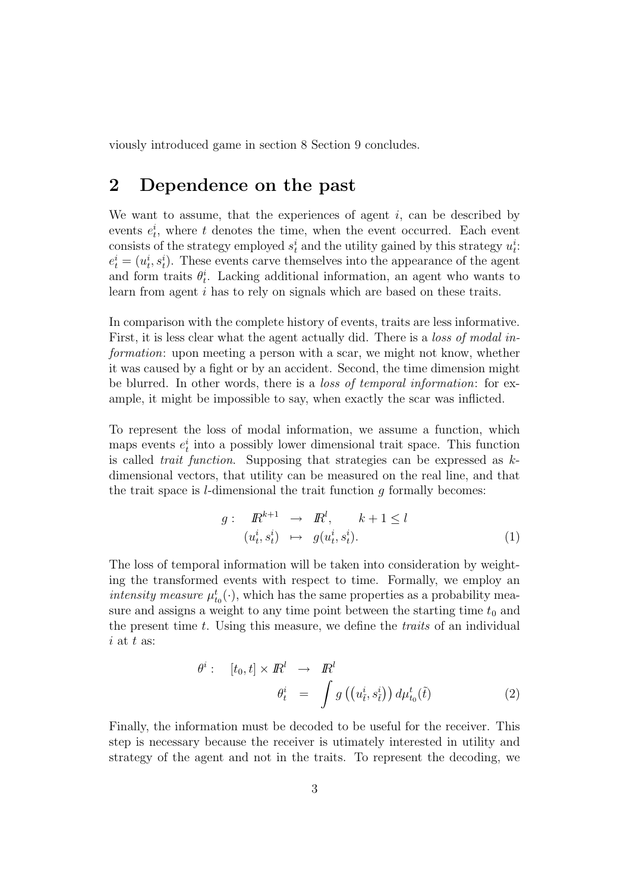viously introduced game in section 8 Section 9 concludes.

# 2 Dependence on the past

We want to assume, that the experiences of agent  $i$ , can be described by events  $e_t^i$ , where t denotes the time, when the event occurred. Each event consists of the strategy employed  $s_t^i$  and the utility gained by this strategy  $u_t^i$ .  $e_t^i = (u_t^i, s_t^i)$ . These events carve themselves into the appearance of the agent and form traits  $\theta_t^i$ . Lacking additional information, an agent who wants to learn from agent i has to rely on signals which are based on these traits.

In comparison with the complete history of events, traits are less informative. First, it is less clear what the agent actually did. There is a *loss of modal in*formation: upon meeting a person with a scar, we might not know, whether it was caused by a fight or by an accident. Second, the time dimension might be blurred. In other words, there is a *loss of temporal information*: for example, it might be impossible to say, when exactly the scar was inflicted.

To represent the loss of modal information, we assume a function, which maps events  $e_t^i$  into a possibly lower dimensional trait space. This function is called *trait function*. Supposing that strategies can be expressed as  $k$ dimensional vectors, that utility can be measured on the real line, and that the trait space is  $l$ -dimensional the trait function  $g$  formally becomes:

$$
g: \tR^{k+1} \to R^l, \t k+1 \le l
$$
  

$$
(u_t^i, s_t^i) \mapsto g(u_t^i, s_t^i).
$$
 (1)

The loss of temporal information will be taken into consideration by weighting the transformed events with respect to time. Formally, we employ an intensity measure  $\mu_{t_0}^t(\cdot)$ , which has the same properties as a probability measure and assigns a weight to any time point between the starting time  $t_0$  and the present time t. Using this measure, we define the *traits* of an individual  $i$  at  $t$  as:

$$
\theta^{i}: \quad [t_{0}, t] \times I\!\!R^{l} \rightarrow I\!\!R^{l} \n\theta^{i}_{t} = \int g\left((u_{\tilde{t}}^{i}, s_{\tilde{t}}^{i})\right) d\mu_{t_{0}}^{t}(\tilde{t})
$$
\n(2)

Finally, the information must be decoded to be useful for the receiver. This step is necessary because the receiver is utimately interested in utility and strategy of the agent and not in the traits. To represent the decoding, we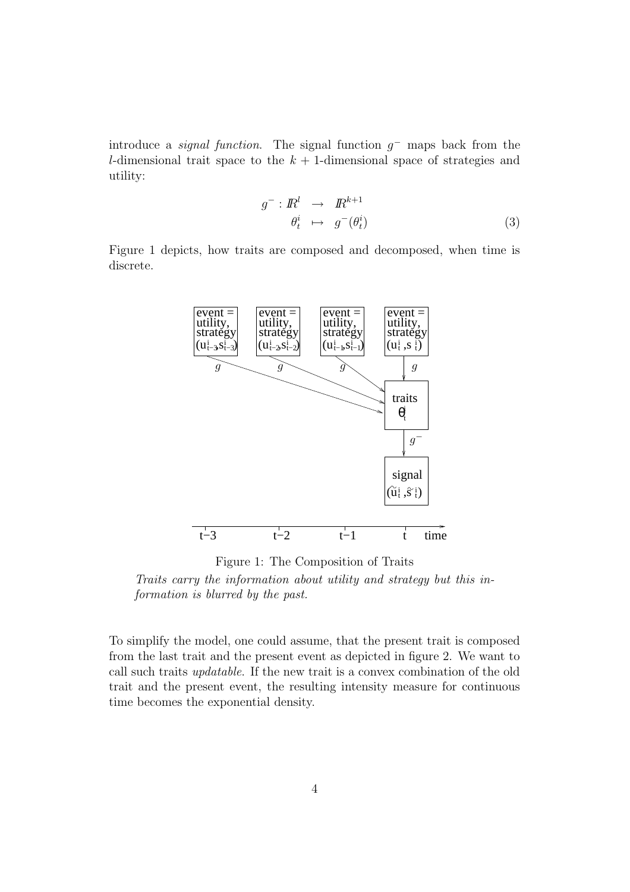introduce a *signal function*. The signal function  $g^-$  maps back from the l-dimensional trait space to the  $k + 1$ -dimensional space of strategies and utility:

$$
g^{-}: \mathbb{R}^{l} \rightarrow \mathbb{R}^{k+1}
$$

$$
\theta_{t}^{i} \mapsto g^{-}(\theta_{t}^{i})
$$
(3)

Figure 1 depicts, how traits are composed and decomposed, when time is discrete.



Figure 1: The Composition of Traits

Traits carry the information about utility and strategy but this information is blurred by the past.

To simplify the model, one could assume, that the present trait is composed from the last trait and the present event as depicted in figure 2. We want to call such traits updatable. If the new trait is a convex combination of the old trait and the present event, the resulting intensity measure for continuous time becomes the exponential density.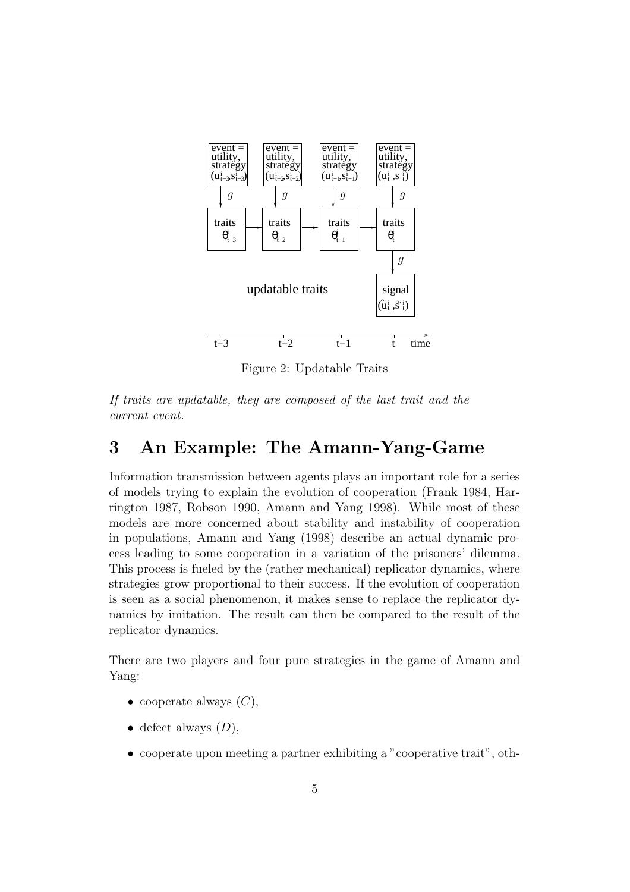

Figure 2: Updatable Traits

If traits are updatable, they are composed of the last trait and the current event.

## 3 An Example: The Amann-Yang-Game

Information transmission between agents plays an important role for a series of models trying to explain the evolution of cooperation (Frank 1984, Harrington 1987, Robson 1990, Amann and Yang 1998). While most of these models are more concerned about stability and instability of cooperation in populations, Amann and Yang (1998) describe an actual dynamic process leading to some cooperation in a variation of the prisoners' dilemma. This process is fueled by the (rather mechanical) replicator dynamics, where strategies grow proportional to their success. If the evolution of cooperation is seen as a social phenomenon, it makes sense to replace the replicator dynamics by imitation. The result can then be compared to the result of the replicator dynamics.

There are two players and four pure strategies in the game of Amann and Yang:

- cooperate always  $(C)$ ,
- defect always  $(D)$ ,
- cooperate upon meeting a partner exhibiting a "cooperative trait", oth-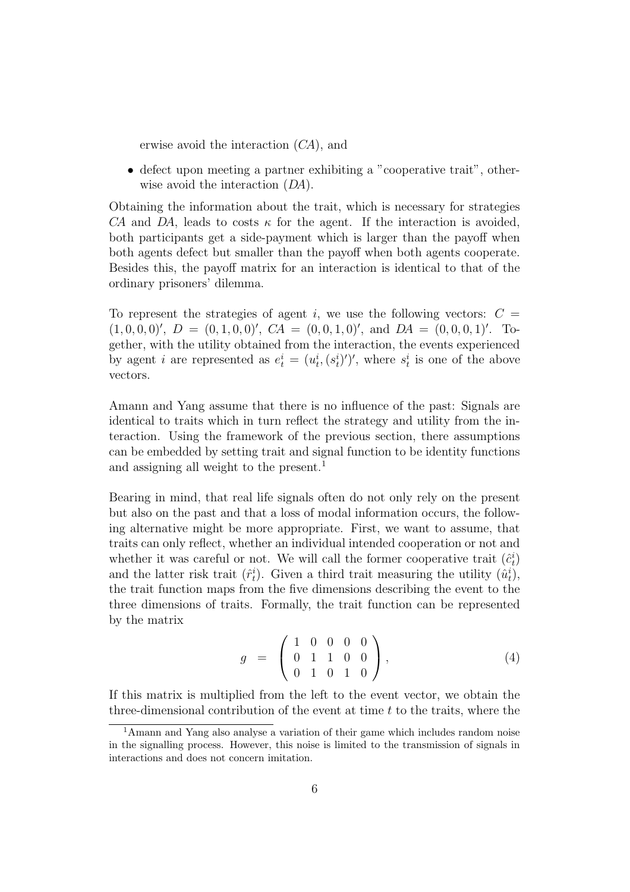erwise avoid the interaction (CA), and

• defect upon meeting a partner exhibiting a "cooperative trait", otherwise avoid the interaction  $(DA)$ .

Obtaining the information about the trait, which is necessary for strategies CA and DA, leads to costs  $\kappa$  for the agent. If the interaction is avoided, both participants get a side-payment which is larger than the payoff when both agents defect but smaller than the payoff when both agents cooperate. Besides this, the payoff matrix for an interaction is identical to that of the ordinary prisoners' dilemma.

To represent the strategies of agent i, we use the following vectors:  $C =$  $(1, 0, 0, 0)$ ',  $D = (0, 1, 0, 0)$ ',  $CA = (0, 0, 1, 0)$ ', and  $DA = (0, 0, 0, 1)$ '. Together, with the utility obtained from the interaction, the events experienced by agent *i* are represented as  $e_t^i = (u_t^i, (s_t^i)')'$ , where  $s_t^i$  is one of the above vectors.

Amann and Yang assume that there is no influence of the past: Signals are identical to traits which in turn reflect the strategy and utility from the interaction. Using the framework of the previous section, there assumptions can be embedded by setting trait and signal function to be identity functions and assigning all weight to the present.<sup>1</sup>

Bearing in mind, that real life signals often do not only rely on the present but also on the past and that a loss of modal information occurs, the following alternative might be more appropriate. First, we want to assume, that traits can only reflect, whether an individual intended cooperation or not and whether it was careful or not. We will call the former cooperative trait  $(\hat{c}_t^i)$ and the latter risk trait  $(\hat{r}_t^i)$ . Given a third trait measuring the utility  $(\hat{u}_t^i)$ , the trait function maps from the five dimensions describing the event to the three dimensions of traits. Formally, the trait function can be represented by the matrix

$$
g = \left(\begin{array}{cccc} 1 & 0 & 0 & 0 & 0 \\ 0 & 1 & 1 & 0 & 0 \\ 0 & 1 & 0 & 1 & 0 \end{array}\right), \tag{4}
$$

If this matrix is multiplied from the left to the event vector, we obtain the three-dimensional contribution of the event at time  $t$  to the traits, where the

<sup>1</sup>Amann and Yang also analyse a variation of their game which includes random noise in the signalling process. However, this noise is limited to the transmission of signals in interactions and does not concern imitation.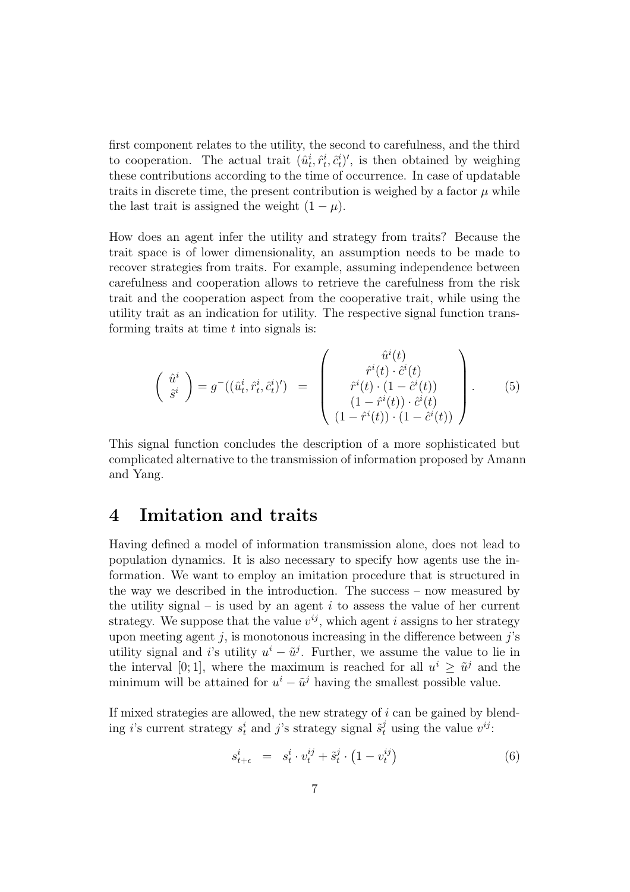first component relates to the utility, the second to carefulness, and the third to cooperation. The actual trait  $(\hat{u}_t^i, \hat{r}_t^i, \hat{c}_t^i)'$ , is then obtained by weighing these contributions according to the time of occurrence. In case of updatable traits in discrete time, the present contribution is weighed by a factor  $\mu$  while the last trait is assigned the weight  $(1 - \mu)$ .

How does an agent infer the utility and strategy from traits? Because the trait space is of lower dimensionality, an assumption needs to be made to recover strategies from traits. For example, assuming independence between carefulness and cooperation allows to retrieve the carefulness from the risk trait and the cooperation aspect from the cooperative trait, while using the utility trait as an indication for utility. The respective signal function transforming traits at time  $t$  into signals is:

$$
\begin{pmatrix}\n\hat{u}^i \\
\hat{s}^i\n\end{pmatrix} = g^-( (\hat{u}^i_t, \hat{r}^i_t, \hat{c}^i_t)') = \begin{pmatrix}\n\hat{u}^i(t) \\
\hat{r}^i(t) \cdot \hat{c}^i(t) \\
\hat{r}^i(t) \cdot (1 - \hat{c}^i(t)) \\
(1 - \hat{r}^i(t)) \cdot \hat{c}^i(t) \\
(1 - \hat{r}^i(t)) \cdot (1 - \hat{c}^i(t))\n\end{pmatrix}.
$$
\n(5)

This signal function concludes the description of a more sophisticated but complicated alternative to the transmission of information proposed by Amann and Yang.

#### 4 Imitation and traits

Having defined a model of information transmission alone, does not lead to population dynamics. It is also necessary to specify how agents use the information. We want to employ an imitation procedure that is structured in the way we described in the introduction. The success – now measured by the utility signal – is used by an agent  $i$  to assess the value of her current strategy. We suppose that the value  $v^{ij}$ , which agent i assigns to her strategy upon meeting agent  $j$ , is monotonous increasing in the difference between  $j$ 's utility signal and i's utility  $u^i - \tilde{u}^j$ . Further, we assume the value to lie in the interval [0; 1], where the maximum is reached for all  $u^i \geq \tilde{u}^j$  and the minimum will be attained for  $u^i - \tilde{u}^j$  having the smallest possible value.

If mixed strategies are allowed, the new strategy of  $i$  can be gained by blending *i*'s current strategy  $s_t^i$  and *j*'s strategy signal  $\tilde{s}_t^j$  using the value  $v^{ij}$ :

$$
s_{t+\epsilon}^{i} = s_{t}^{i} \cdot v_{t}^{ij} + \tilde{s}_{t}^{j} \cdot (1 - v_{t}^{ij})
$$
\n(6)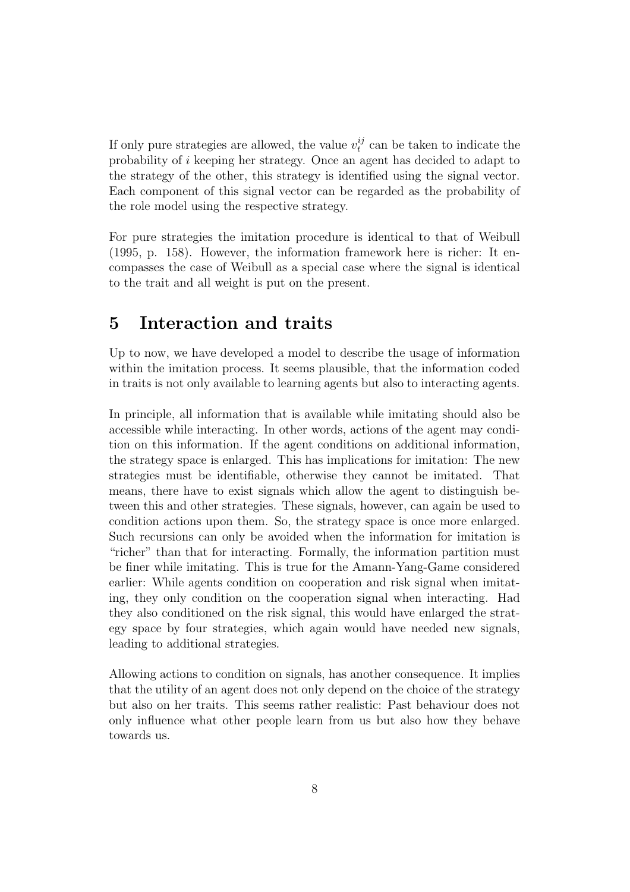If only pure strategies are allowed, the value  $v_t^{ij}$  $t<sub>t</sub><sup>ij</sup>$  can be taken to indicate the probability of i keeping her strategy. Once an agent has decided to adapt to the strategy of the other, this strategy is identified using the signal vector. Each component of this signal vector can be regarded as the probability of the role model using the respective strategy.

For pure strategies the imitation procedure is identical to that of Weibull (1995, p. 158). However, the information framework here is richer: It encompasses the case of Weibull as a special case where the signal is identical to the trait and all weight is put on the present.

## 5 Interaction and traits

Up to now, we have developed a model to describe the usage of information within the imitation process. It seems plausible, that the information coded in traits is not only available to learning agents but also to interacting agents.

In principle, all information that is available while imitating should also be accessible while interacting. In other words, actions of the agent may condition on this information. If the agent conditions on additional information, the strategy space is enlarged. This has implications for imitation: The new strategies must be identifiable, otherwise they cannot be imitated. That means, there have to exist signals which allow the agent to distinguish between this and other strategies. These signals, however, can again be used to condition actions upon them. So, the strategy space is once more enlarged. Such recursions can only be avoided when the information for imitation is "richer" than that for interacting. Formally, the information partition must be finer while imitating. This is true for the Amann-Yang-Game considered earlier: While agents condition on cooperation and risk signal when imitating, they only condition on the cooperation signal when interacting. Had they also conditioned on the risk signal, this would have enlarged the strategy space by four strategies, which again would have needed new signals, leading to additional strategies.

Allowing actions to condition on signals, has another consequence. It implies that the utility of an agent does not only depend on the choice of the strategy but also on her traits. This seems rather realistic: Past behaviour does not only influence what other people learn from us but also how they behave towards us.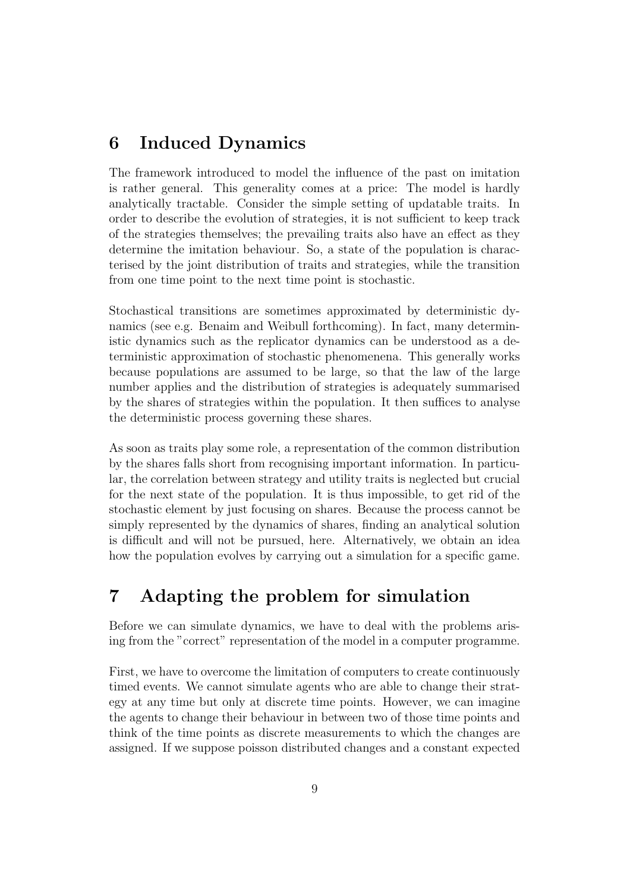# 6 Induced Dynamics

The framework introduced to model the influence of the past on imitation is rather general. This generality comes at a price: The model is hardly analytically tractable. Consider the simple setting of updatable traits. In order to describe the evolution of strategies, it is not sufficient to keep track of the strategies themselves; the prevailing traits also have an effect as they determine the imitation behaviour. So, a state of the population is characterised by the joint distribution of traits and strategies, while the transition from one time point to the next time point is stochastic.

Stochastical transitions are sometimes approximated by deterministic dynamics (see e.g. Benaim and Weibull forthcoming). In fact, many deterministic dynamics such as the replicator dynamics can be understood as a deterministic approximation of stochastic phenomenena. This generally works because populations are assumed to be large, so that the law of the large number applies and the distribution of strategies is adequately summarised by the shares of strategies within the population. It then suffices to analyse the deterministic process governing these shares.

As soon as traits play some role, a representation of the common distribution by the shares falls short from recognising important information. In particular, the correlation between strategy and utility traits is neglected but crucial for the next state of the population. It is thus impossible, to get rid of the stochastic element by just focusing on shares. Because the process cannot be simply represented by the dynamics of shares, finding an analytical solution is difficult and will not be pursued, here. Alternatively, we obtain an idea how the population evolves by carrying out a simulation for a specific game.

# 7 Adapting the problem for simulation

Before we can simulate dynamics, we have to deal with the problems arising from the "correct" representation of the model in a computer programme.

First, we have to overcome the limitation of computers to create continuously timed events. We cannot simulate agents who are able to change their strategy at any time but only at discrete time points. However, we can imagine the agents to change their behaviour in between two of those time points and think of the time points as discrete measurements to which the changes are assigned. If we suppose poisson distributed changes and a constant expected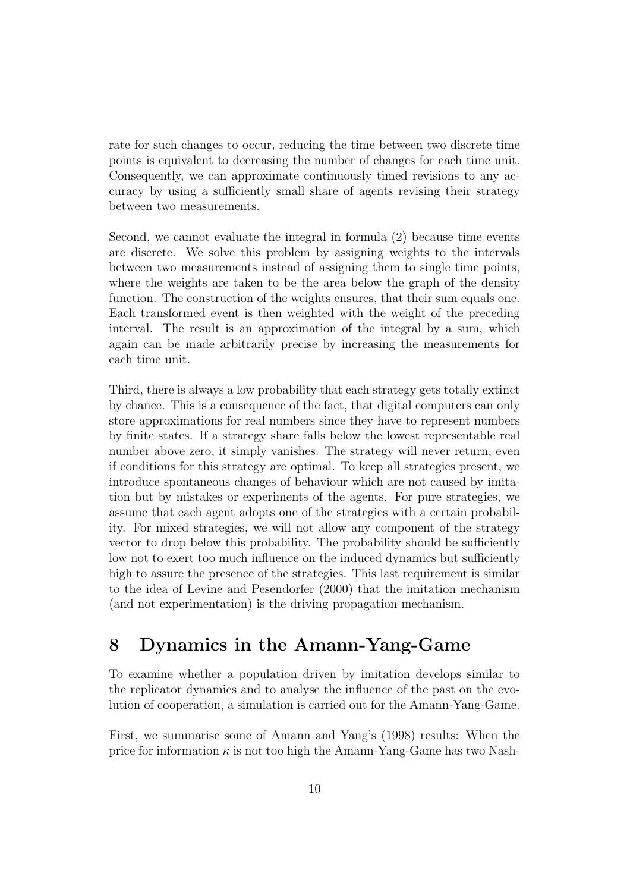rate for such changes to occur, reducing the time between two discrete time points is equivalent to decreasing the number of changes for each time unit. Consequently, we can approximate continuously timed revisions to any accuracy by using a sufficiently small share of agents revising their strategy between two measurements.

Second, we cannot evaluate the integral in formula (2) because time events are discrete. We solve this problem by assigning weights to the intervals between two measurements instead of assigning them to single time points, where the weights are taken to be the area below the graph of the density function. The construction of the weights ensures, that their sum equals one. Each transformed event is then weighted with the weight of the preceding interval. The result is an approximation of the integral by a sum, which again can be made arbitrarily precise by increasing the measurements for each time unit.

Third, there is always a low probability that each strategy gets totally extinct by chance. This is a consequence of the fact, that digital computers can only store approximations for real numbers since they have to represent numbers by finite states. If a strategy share falls below the lowest representable real number above zero, it simply vanishes. The strategy will never return, even if conditions for this strategy are optimal. To keep all strategies present, we introduce spontaneous changes of behaviour which are not caused by imitation but by mistakes or experiments of the agents. For pure strategies, we assume that each agent adopts one of the strategies with a certain probability. For mixed strategies, we will not allow any component of the strategy vector to drop below this probability. The probability should be sufficiently low not to exert too much influence on the induced dynamics but sufficiently high to assure the presence of the strategies. This last requirement is similar to the idea of Levine and Pesendorfer (2000) that the imitation mechanism (and not experimentation) is the driving propagation mechanism.

## 8 Dynamics in the Amann-Yang-Game

To examine whether a population driven by imitation develops similar to the replicator dynamics and to analyse the influence of the past on the evolution of cooperation, a simulation is carried out for the Amann-Yang-Game.

First, we summarise some of Amann and Yang's (1998) results: When the price for information  $\kappa$  is not too high the Amann-Yang-Game has two Nash-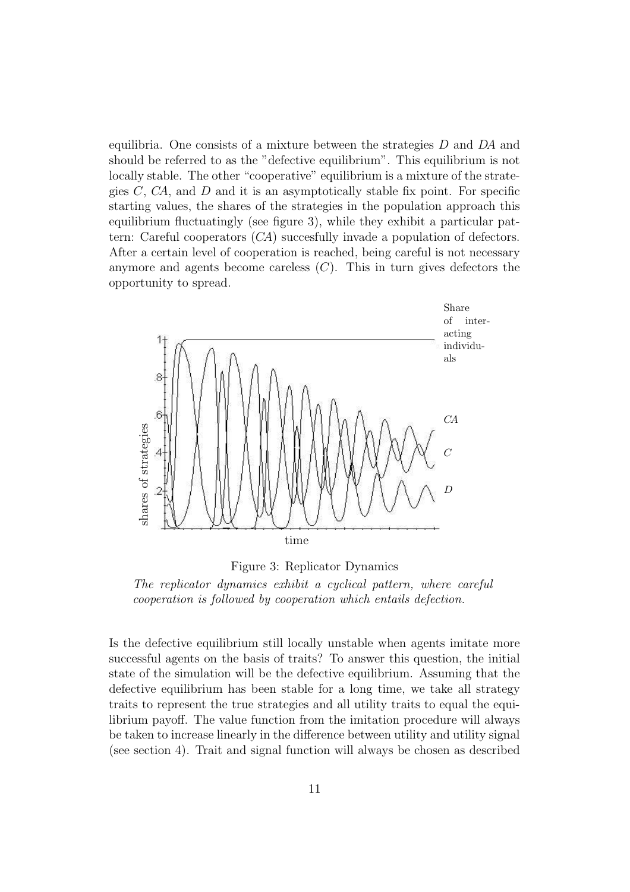equilibria. One consists of a mixture between the strategies  $D$  and  $DA$  and should be referred to as the "defective equilibrium". This equilibrium is not locally stable. The other "cooperative" equilibrium is a mixture of the strategies  $C$ ,  $CA$ , and  $D$  and it is an asymptotically stable fix point. For specific starting values, the shares of the strategies in the population approach this equilibrium fluctuatingly (see figure 3), while they exhibit a particular pattern: Careful cooperators (CA) succesfully invade a population of defectors. After a certain level of cooperation is reached, being careful is not necessary anymore and agents become careless  $(C)$ . This in turn gives defectors the opportunity to spread.



Figure 3: Replicator Dynamics

The replicator dynamics exhibit a cyclical pattern, where careful cooperation is followed by cooperation which entails defection.

Is the defective equilibrium still locally unstable when agents imitate more successful agents on the basis of traits? To answer this question, the initial state of the simulation will be the defective equilibrium. Assuming that the defective equilibrium has been stable for a long time, we take all strategy traits to represent the true strategies and all utility traits to equal the equilibrium payoff. The value function from the imitation procedure will always be taken to increase linearly in the difference between utility and utility signal (see section 4). Trait and signal function will always be chosen as described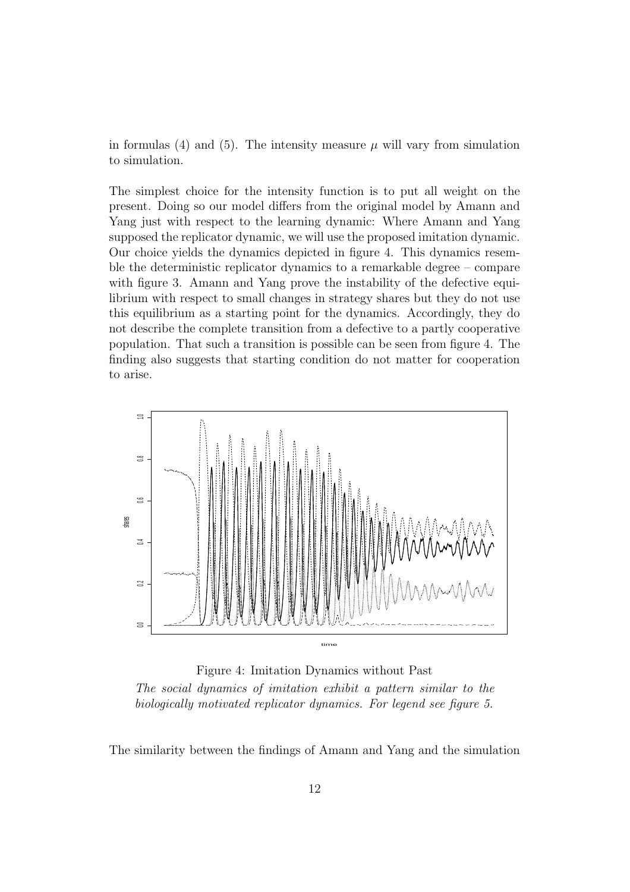in formulas (4) and (5). The intensity measure  $\mu$  will vary from simulation to simulation.

The simplest choice for the intensity function is to put all weight on the present. Doing so our model differs from the original model by Amann and Yang just with respect to the learning dynamic: Where Amann and Yang supposed the replicator dynamic, we will use the proposed imitation dynamic. Our choice yields the dynamics depicted in figure 4. This dynamics resemble the deterministic replicator dynamics to a remarkable degree – compare with figure 3. Amann and Yang prove the instability of the defective equilibrium with respect to small changes in strategy shares but they do not use this equilibrium as a starting point for the dynamics. Accordingly, they do not describe the complete transition from a defective to a partly cooperative population. That such a transition is possible can be seen from figure 4. The finding also suggests that starting condition do not matter for cooperation to arise.



Figure 4: Imitation Dynamics without Past The social dynamics of imitation exhibit a pattern similar to the biologically motivated replicator dynamics. For legend see figure 5.

The similarity between the findings of Amann and Yang and the simulation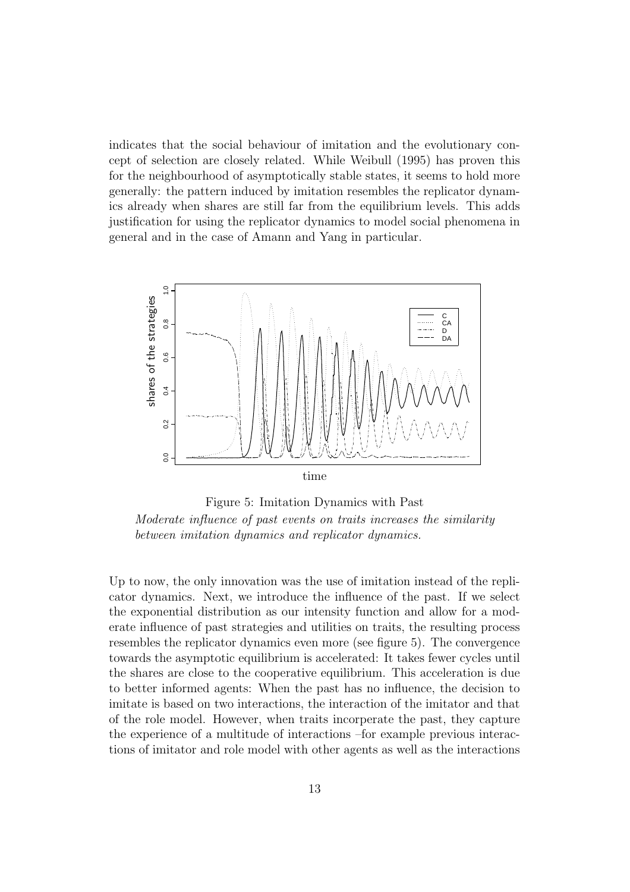indicates that the social behaviour of imitation and the evolutionary concept of selection are closely related. While Weibull (1995) has proven this for the neighbourhood of asymptotically stable states, it seems to hold more generally: the pattern induced by imitation resembles the replicator dynamics already when shares are still far from the equilibrium levels. This adds justification for using the replicator dynamics to model social phenomena in general and in the case of Amann and Yang in particular.



Figure 5: Imitation Dynamics with Past Moderate influence of past events on traits increases the similarity between imitation dynamics and replicator dynamics.

Up to now, the only innovation was the use of imitation instead of the replicator dynamics. Next, we introduce the influence of the past. If we select the exponential distribution as our intensity function and allow for a moderate influence of past strategies and utilities on traits, the resulting process resembles the replicator dynamics even more (see figure 5). The convergence towards the asymptotic equilibrium is accelerated: It takes fewer cycles until the shares are close to the cooperative equilibrium. This acceleration is due to better informed agents: When the past has no influence, the decision to imitate is based on two interactions, the interaction of the imitator and that of the role model. However, when traits incorperate the past, they capture the experience of a multitude of interactions –for example previous interactions of imitator and role model with other agents as well as the interactions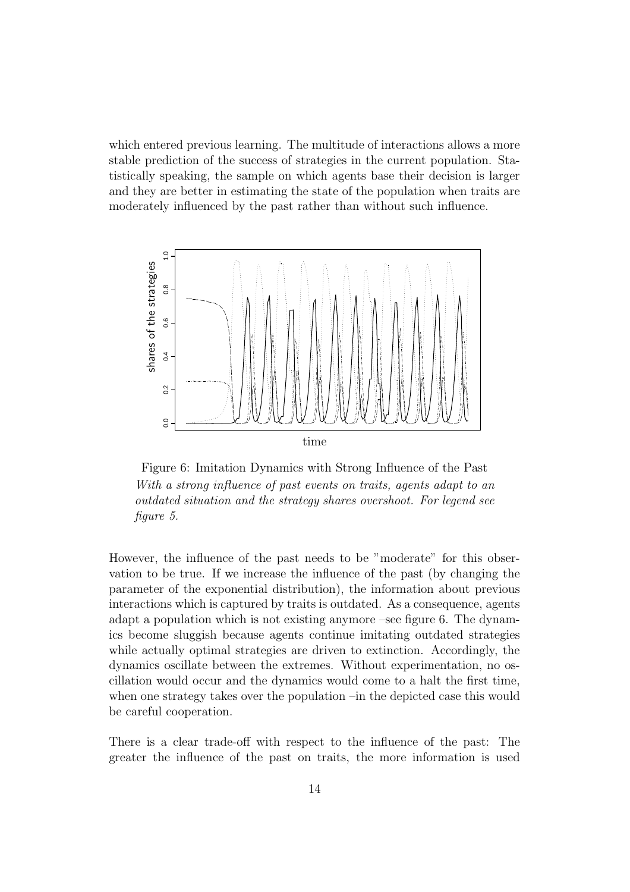which entered previous learning. The multitude of interactions allows a more stable prediction of the success of strategies in the current population. Statistically speaking, the sample on which agents base their decision is larger and they are better in estimating the state of the population when traits are moderately influenced by the past rather than without such influence.



Figure 6: Imitation Dynamics with Strong Influence of the Past With a strong influence of past events on traits, agents adapt to an outdated situation and the strategy shares overshoot. For legend see figure 5.

However, the influence of the past needs to be "moderate" for this observation to be true. If we increase the influence of the past (by changing the parameter of the exponential distribution), the information about previous interactions which is captured by traits is outdated. As a consequence, agents adapt a population which is not existing anymore –see figure 6. The dynamics become sluggish because agents continue imitating outdated strategies while actually optimal strategies are driven to extinction. Accordingly, the dynamics oscillate between the extremes. Without experimentation, no oscillation would occur and the dynamics would come to a halt the first time, when one strategy takes over the population –in the depicted case this would be careful cooperation.

There is a clear trade-off with respect to the influence of the past: The greater the influence of the past on traits, the more information is used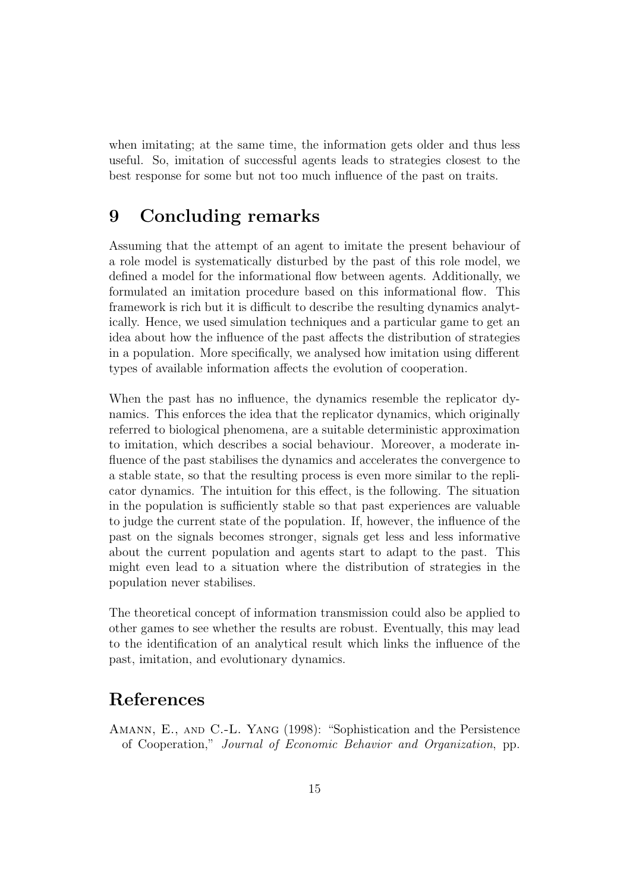when imitating; at the same time, the information gets older and thus less useful. So, imitation of successful agents leads to strategies closest to the best response for some but not too much influence of the past on traits.

#### 9 Concluding remarks

Assuming that the attempt of an agent to imitate the present behaviour of a role model is systematically disturbed by the past of this role model, we defined a model for the informational flow between agents. Additionally, we formulated an imitation procedure based on this informational flow. This framework is rich but it is difficult to describe the resulting dynamics analytically. Hence, we used simulation techniques and a particular game to get an idea about how the influence of the past affects the distribution of strategies in a population. More specifically, we analysed how imitation using different types of available information affects the evolution of cooperation.

When the past has no influence, the dynamics resemble the replicator dynamics. This enforces the idea that the replicator dynamics, which originally referred to biological phenomena, are a suitable deterministic approximation to imitation, which describes a social behaviour. Moreover, a moderate influence of the past stabilises the dynamics and accelerates the convergence to a stable state, so that the resulting process is even more similar to the replicator dynamics. The intuition for this effect, is the following. The situation in the population is sufficiently stable so that past experiences are valuable to judge the current state of the population. If, however, the influence of the past on the signals becomes stronger, signals get less and less informative about the current population and agents start to adapt to the past. This might even lead to a situation where the distribution of strategies in the population never stabilises.

The theoretical concept of information transmission could also be applied to other games to see whether the results are robust. Eventually, this may lead to the identification of an analytical result which links the influence of the past, imitation, and evolutionary dynamics.

#### References

Amann, E., and C.-L. Yang (1998): "Sophistication and the Persistence of Cooperation," Journal of Economic Behavior and Organization, pp.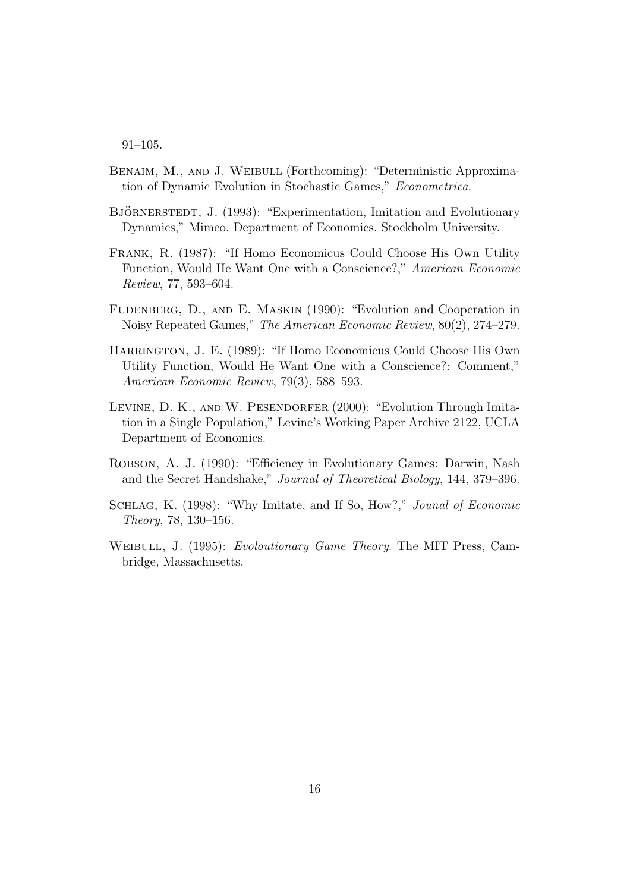91–105.

- BENAIM, M., AND J. WEIBULL (Forthcoming): "Deterministic Approximation of Dynamic Evolution in Stochastic Games," Econometrica.
- BJÖRNERSTEDT, J. (1993): "Experimentation, Imitation and Evolutionary Dynamics," Mimeo. Department of Economics. Stockholm University.
- Frank, R. (1987): "If Homo Economicus Could Choose His Own Utility Function, Would He Want One with a Conscience?," American Economic Review, 77, 593–604.
- FUDENBERG, D., AND E. MASKIN (1990): "Evolution and Cooperation in Noisy Repeated Games," The American Economic Review, 80(2), 274–279.
- Harrington, J. E. (1989): "If Homo Economicus Could Choose His Own Utility Function, Would He Want One with a Conscience?: Comment," American Economic Review, 79(3), 588–593.
- LEVINE, D. K., AND W. PESENDORFER (2000): "Evolution Through Imitation in a Single Population," Levine's Working Paper Archive 2122, UCLA Department of Economics.
- Robson, A. J. (1990): "Efficiency in Evolutionary Games: Darwin, Nash and the Secret Handshake," Journal of Theoretical Biology, 144, 379–396.
- SCHLAG, K. (1998): "Why Imitate, and If So, How?," Jounal of Economic Theory, 78, 130–156.
- WEIBULL, J. (1995): *Evoloutionary Game Theory*. The MIT Press, Cambridge, Massachusetts.